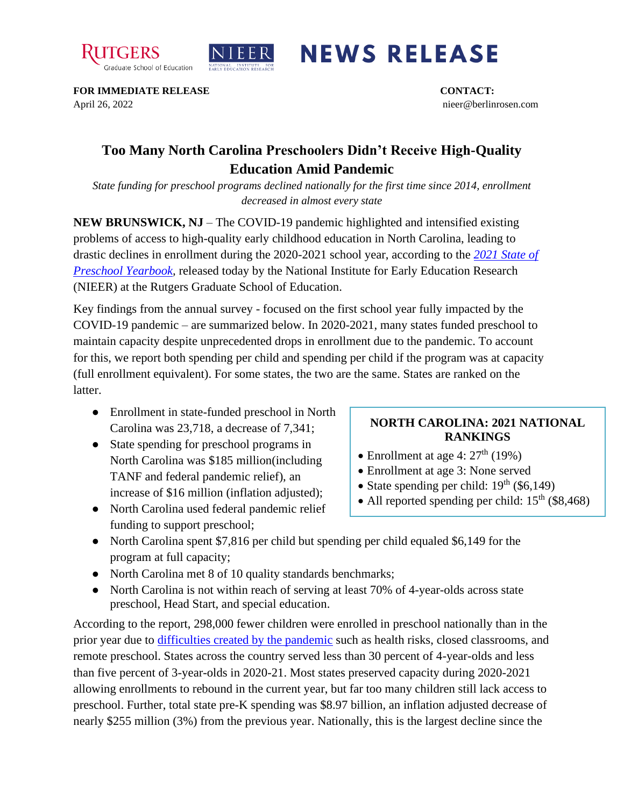



## **NEWS RELEASE**

**FOR IMMEDIATE RELEASE CONTACT:**  April 26, 2022 nieer@berlinrosen.com

## **Too Many North Carolina Preschoolers Didn't Receive High-Quality Education Amid Pandemic**

*State funding for preschool programs declined nationally for the first time since 2014, enrollment decreased in almost every state*

**NEW BRUNSWICK, NJ** – The COVID-19 pandemic highlighted and intensified existing problems of access to high-quality early childhood education in North Carolina, leading to drastic declines in enrollment during the 2020-2021 school year, according to the *[2021 State of](https://nieer.org/state-preschool-yearbooks-yearbook2021)  [Preschool Yearbook,](https://nieer.org/state-preschool-yearbooks-yearbook2021)* released today by the National Institute for Early Education Research (NIEER) at the Rutgers Graduate School of Education.

Key findings from the annual survey - focused on the first school year fully impacted by the COVID-19 pandemic – are summarized below. In 2020-2021, many states funded preschool to maintain capacity despite unprecedented drops in enrollment due to the pandemic. To account for this, we report both spending per child and spending per child if the program was at capacity (full enrollment equivalent). For some states, the two are the same. States are ranked on the latter.

- Enrollment in state-funded preschool in North Carolina was 23,718, a decrease of 7,341;
- State spending for preschool programs in North Carolina was \$185 million(including TANF and federal pandemic relief), an increase of \$16 million (inflation adjusted);
- North Carolina used federal pandemic relief funding to support preschool;

## **NORTH CAROLINA: 2021 NATIONAL RANKINGS**

- Enrollment at age 4:  $27<sup>th</sup>$  (19%)
- Enrollment at age 3: None served
- State spending per child:  $19<sup>th</sup>$  (\$6,149)
- All reported spending per child:  $15<sup>th</sup>$  (\$8,468)
- North Carolina spent \$7,816 per child but spending per child equaled \$6,149 for the program at full capacity;
- North Carolina met 8 of 10 quality standards benchmarks;
- North Carolina is not within reach of serving at least 70% of 4-year-olds across state preschool, Head Start, and special education.

According to the report, 298,000 fewer children were enrolled in preschool nationally than in the prior year due to [difficulties created by the pandemic](https://nieer.org/wp-content/uploads/2021/02/NIEER_Seven_Impacts_of_the_Pandemic_on_Young_Children_and_their_Parents.pdf) such as health risks, closed classrooms, and remote preschool. States across the country served less than 30 percent of 4-year-olds and less than five percent of 3-year-olds in 2020-21. Most states preserved capacity during 2020-2021 allowing enrollments to rebound in the current year, but far too many children still lack access to preschool. Further, total state pre-K spending was \$8.97 billion, an inflation adjusted decrease of nearly \$255 million (3%) from the previous year. Nationally, this is the largest decline since the